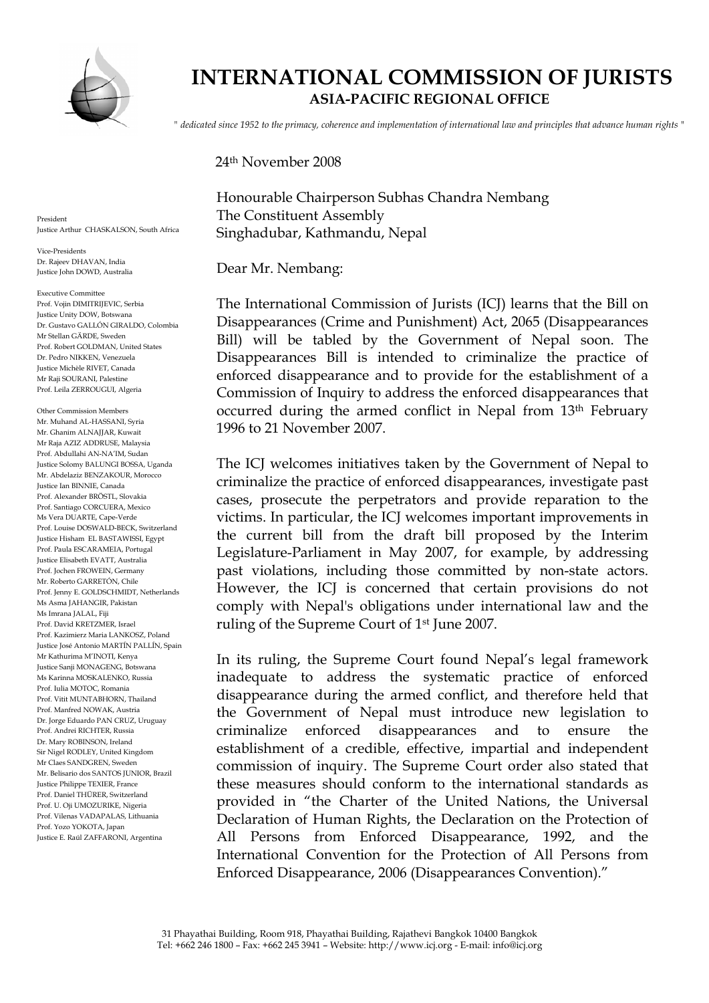

 **INTERNATIONAL COMMISSION OF JURISTS ASIA-PACIFIC REGIONAL OFFICE** 

*" dedicated since 1952 to the primacy, coherence and implementation of international law and principles that advance human rights "*

24th November 2008

Honourable Chairperson Subhas Chandra Nembang The Constituent Assembly Singhadubar, Kathmandu, Nepal

Dear Mr. Nembang:

The International Commission of Jurists (ICJ) learns that the Bill on Disappearances (Crime and Punishment) Act, 2065 (Disappearances Bill) will be tabled by the Government of Nepal soon. The Disappearances Bill is intended to criminalize the practice of enforced disappearance and to provide for the establishment of a Commission of Inquiry to address the enforced disappearances that occurred during the armed conflict in Nepal from 13th February 1996 to 21 November 2007.

The ICJ welcomes initiatives taken by the Government of Nepal to criminalize the practice of enforced disappearances, investigate past cases, prosecute the perpetrators and provide reparation to the victims. In particular, the ICJ welcomes important improvements in the current bill from the draft bill proposed by the Interim Legislature-Parliament in May 2007, for example, by addressing past violations, including those committed by non-state actors. However, the ICJ is concerned that certain provisions do not comply with Nepal's obligations under international law and the ruling of the Supreme Court of 1st June 2007.

In its ruling, the Supreme Court found Nepal's legal framework inadequate to address the systematic practice of enforced disappearance during the armed conflict, and therefore held that the Government of Nepal must introduce new legislation to criminalize enforced disappearances and to ensure the establishment of a credible, effective, impartial and independent commission of inquiry. The Supreme Court order also stated that these measures should conform to the international standards as provided in "the Charter of the United Nations, the Universal Declaration of Human Rights, the Declaration on the Protection of All Persons from Enforced Disappearance, 1992, and the International Convention for the Protection of All Persons from Enforced Disappearance, 2006 (Disappearances Convention)."

President Justice Arthur CHASKALSON, South Africa

Vice-Presidents Dr. Rajeev DHAVAN, India Justice John DOWD, Australia

Executive Committee Prof. Vojin DIMITRIJEVIC, Serbia Justice Unity DOW, Botswana Dr. Gustavo GALLÓN GIRALDO, Colombia Mr Stellan GÄRDE, Sweden Prof. Robert GOLDMAN, United States Dr. Pedro NIKKEN, Venezuela Justice Michèle RIVET, Canada Mr Raji SOURANI, Palestine Prof. Leila ZERROUGUI, Algeria

Other Commission Members Mr. Muhand AL-HASSANI, Syria Mr. Ghanim ALNAJJAR, Kuwait Mr Raja AZIZ ADDRUSE, Malaysia Prof. Abdullahi AN-NA'IM, Sudan Justice Solomy BALUNGI BOSSA, Uganda Mr. Abdelaziz BENZAKOUR, Morocco Justice Ian BINNIE, Canada Prof. Alexander BRÖSTL, Slovakia Prof. Santiago CORCUERA, Mexico Ms Vera DUARTE, Cape-Verde Prof. Louise DOSWALD-BECK, Switzerland Justice Hisham EL BASTAWISSI, Egypt Prof. Paula ESCARAMEIA, Portugal Justice Elisabeth EVATT, Australia Prof. Jochen FROWEIN, Germany Mr. Roberto GARRETÓN, Chile Prof. Jenny E. GOLDSCHMIDT, Netherlands Ms Asma JAHANGIR, Pakistan Ms Imrana JALAL, Fiji Prof. David KRETZMER, Israel Prof. Kazimierz Maria LANKOSZ, Poland Justice José Antonio MARTÍN PALLÍN, Spain Mr Kathurima M'INOTI, Kenya Justice Sanji MONAGENG, Botswana Ms Karinna MOSKALENKO, Russia Prof. Iulia MOTOC, Romania Prof. Vitit MUNTABHORN, Thailand Prof. Manfred NOWAK, Austria Dr. Jorge Eduardo PAN CRUZ, Uruguay Prof. Andrei RICHTER, Russia Dr. Mary ROBINSON, Ireland Sir Nigel RODLEY, United Kingdom Mr Claes SANDGREN, Sweden Mr. Belisario dos SANTOS JUNIOR, Brazil Justice Philippe TEXIER, France Prof. Daniel THÜRER, Switzerland Prof. U. Oji UMOZURIKE, Nigeria Prof. Vilenas VADAPALAS, Lithuania Prof. Yozo YOKOTA, Japan Justice E. Raúl ZAFFARONI, Argentina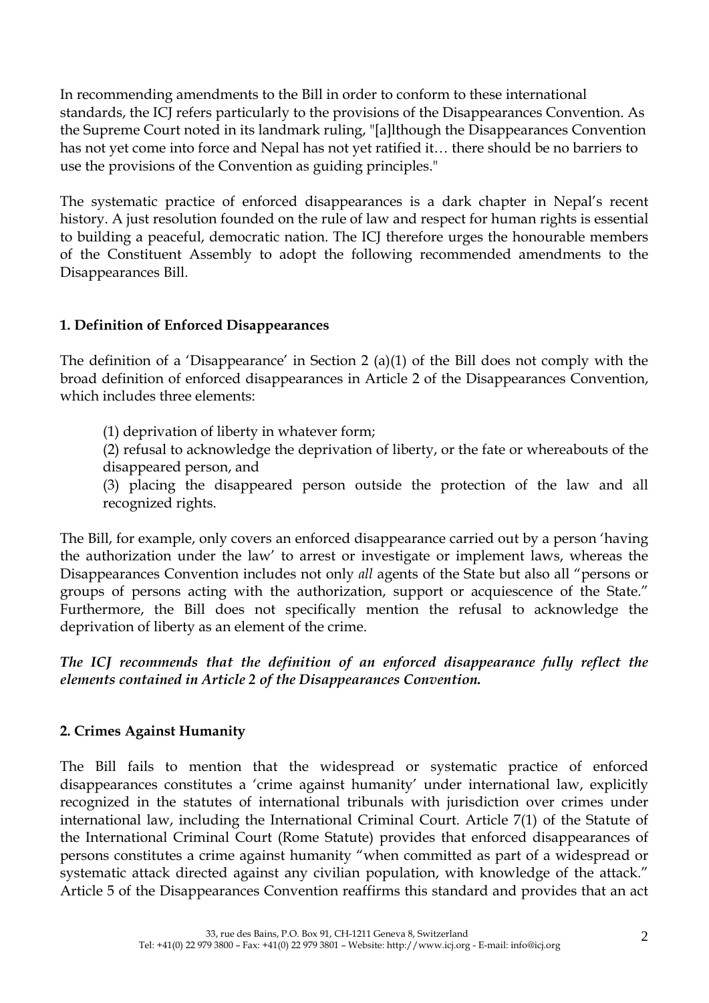In recommending amendments to the Bill in order to conform to these international standards, the ICJ refers particularly to the provisions of the Disappearances Convention. As the Supreme Court noted in its landmark ruling, "[a]lthough the Disappearances Convention has not yet come into force and Nepal has not yet ratified it… there should be no barriers to use the provisions of the Convention as guiding principles."

The systematic practice of enforced disappearances is a dark chapter in Nepal's recent history. A just resolution founded on the rule of law and respect for human rights is essential to building a peaceful, democratic nation. The ICJ therefore urges the honourable members of the Constituent Assembly to adopt the following recommended amendments to the Disappearances Bill.

## **1. Definition of Enforced Disappearances**

The definition of a 'Disappearance' in Section 2 (a)(1) of the Bill does not comply with the broad definition of enforced disappearances in Article 2 of the Disappearances Convention, which includes three elements:

(1) deprivation of liberty in whatever form;

(2) refusal to acknowledge the deprivation of liberty, or the fate or whereabouts of the disappeared person, and

(3) placing the disappeared person outside the protection of the law and all recognized rights.

The Bill, for example, only covers an enforced disappearance carried out by a person 'having the authorization under the law' to arrest or investigate or implement laws, whereas the Disappearances Convention includes not only *all* agents of the State but also all "persons or groups of persons acting with the authorization, support or acquiescence of the State." Furthermore, the Bill does not specifically mention the refusal to acknowledge the deprivation of liberty as an element of the crime.

*The ICJ recommends that the definition of an enforced disappearance fully reflect the elements contained in Article 2 of the Disappearances Convention.* 

# **2. Crimes Against Humanity**

The Bill fails to mention that the widespread or systematic practice of enforced disappearances constitutes a 'crime against humanity' under international law, explicitly recognized in the statutes of international tribunals with jurisdiction over crimes under international law, including the International Criminal Court. Article 7(1) of the Statute of the International Criminal Court (Rome Statute) provides that enforced disappearances of persons constitutes a crime against humanity "when committed as part of a widespread or systematic attack directed against any civilian population, with knowledge of the attack." Article 5 of the Disappearances Convention reaffirms this standard and provides that an act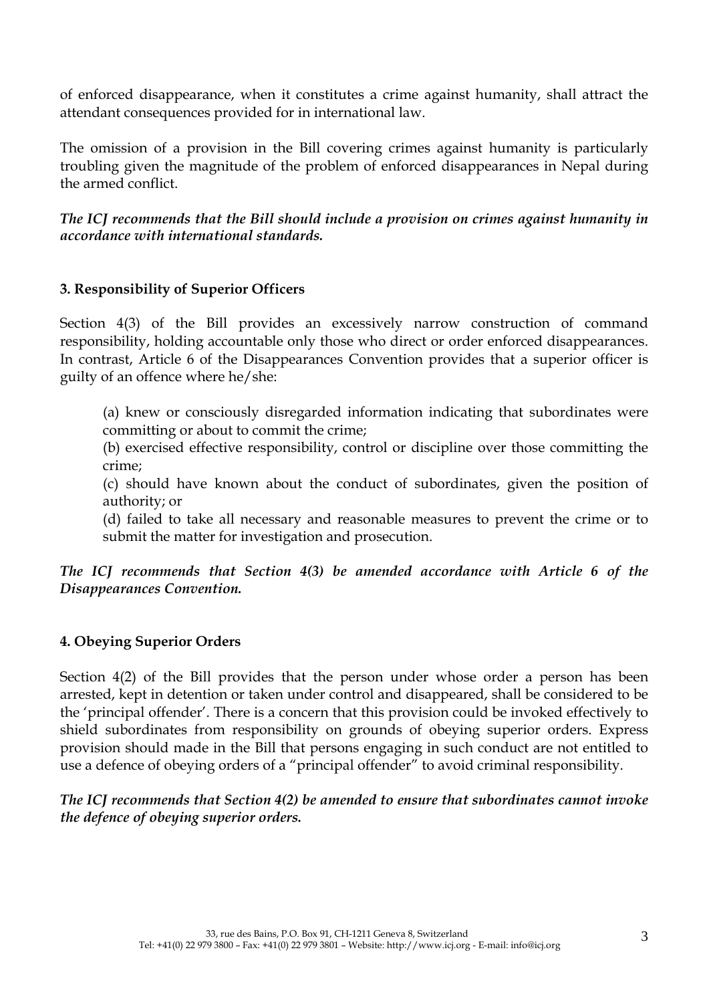of enforced disappearance, when it constitutes a crime against humanity, shall attract the attendant consequences provided for in international law.

The omission of a provision in the Bill covering crimes against humanity is particularly troubling given the magnitude of the problem of enforced disappearances in Nepal during the armed conflict.

*The ICJ recommends that the Bill should include a provision on crimes against humanity in accordance with international standards.* 

## **3. Responsibility of Superior Officers**

Section 4(3) of the Bill provides an excessively narrow construction of command responsibility, holding accountable only those who direct or order enforced disappearances. In contrast, Article 6 of the Disappearances Convention provides that a superior officer is guilty of an offence where he/she:

(a) knew or consciously disregarded information indicating that subordinates were committing or about to commit the crime;

(b) exercised effective responsibility, control or discipline over those committing the crime;

(c) should have known about the conduct of subordinates, given the position of authority; or

(d) failed to take all necessary and reasonable measures to prevent the crime or to submit the matter for investigation and prosecution.

*The ICJ recommends that Section 4(3) be amended accordance with Article 6 of the Disappearances Convention.* 

## **4. Obeying Superior Orders**

Section 4(2) of the Bill provides that the person under whose order a person has been arrested, kept in detention or taken under control and disappeared, shall be considered to be the 'principal offender'. There is a concern that this provision could be invoked effectively to shield subordinates from responsibility on grounds of obeying superior orders. Express provision should made in the Bill that persons engaging in such conduct are not entitled to use a defence of obeying orders of a "principal offender" to avoid criminal responsibility.

*The ICJ recommends that Section 4(2) be amended to ensure that subordinates cannot invoke the defence of obeying superior orders.*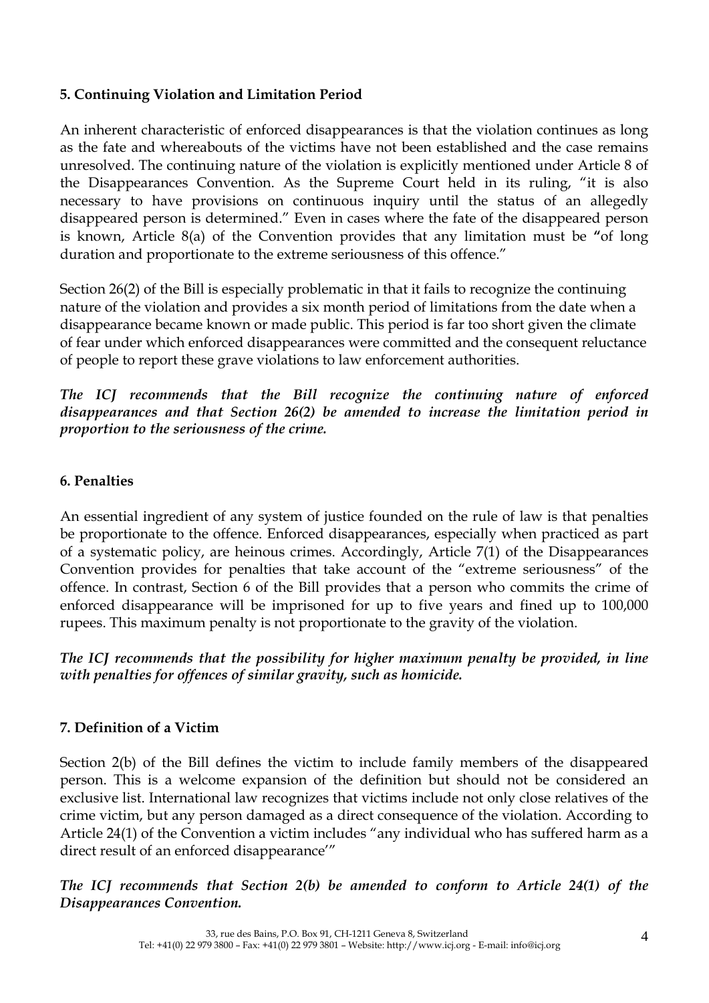## **5. Continuing Violation and Limitation Period**

An inherent characteristic of enforced disappearances is that the violation continues as long as the fate and whereabouts of the victims have not been established and the case remains unresolved. The continuing nature of the violation is explicitly mentioned under Article 8 of the Disappearances Convention. As the Supreme Court held in its ruling, "it is also necessary to have provisions on continuous inquiry until the status of an allegedly disappeared person is determined." Even in cases where the fate of the disappeared person is known, Article 8(a) of the Convention provides that any limitation must be **"**of long duration and proportionate to the extreme seriousness of this offence."

Section 26(2) of the Bill is especially problematic in that it fails to recognize the continuing nature of the violation and provides a six month period of limitations from the date when a disappearance became known or made public. This period is far too short given the climate of fear under which enforced disappearances were committed and the consequent reluctance of people to report these grave violations to law enforcement authorities.

*The ICJ recommends that the Bill recognize the continuing nature of enforced disappearances and that Section 26(2) be amended to increase the limitation period in proportion to the seriousness of the crime.*

#### **6. Penalties**

An essential ingredient of any system of justice founded on the rule of law is that penalties be proportionate to the offence. Enforced disappearances, especially when practiced as part of a systematic policy, are heinous crimes. Accordingly, Article 7(1) of the Disappearances Convention provides for penalties that take account of the "extreme seriousness" of the offence. In contrast, Section 6 of the Bill provides that a person who commits the crime of enforced disappearance will be imprisoned for up to five years and fined up to 100,000 rupees. This maximum penalty is not proportionate to the gravity of the violation.

*The ICJ recommends that the possibility for higher maximum penalty be provided, in line with penalties for offences of similar gravity, such as homicide.* 

## **7. Definition of a Victim**

Section 2(b) of the Bill defines the victim to include family members of the disappeared person. This is a welcome expansion of the definition but should not be considered an exclusive list. International law recognizes that victims include not only close relatives of the crime victim, but any person damaged as a direct consequence of the violation. According to Article 24(1) of the Convention a victim includes "any individual who has suffered harm as a direct result of an enforced disappearance'"

## *The ICJ recommends that Section 2(b) be amended to conform to Article 24(1) of the Disappearances Convention.*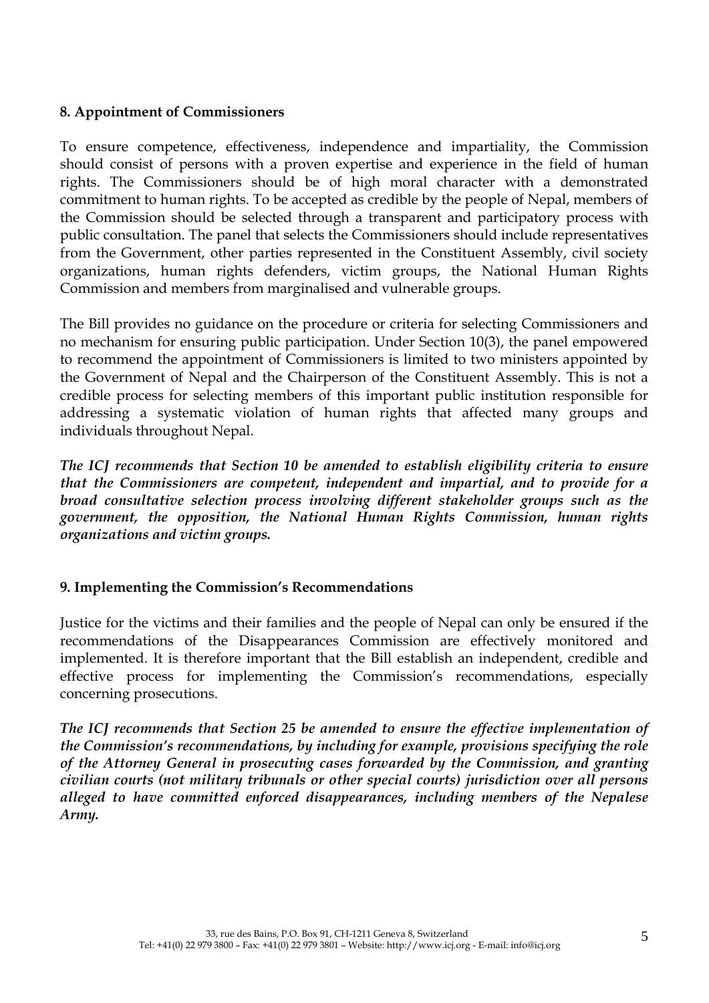#### **8. Appointment of Commissioners**

To ensure competence, effectiveness, independence and impartiality, the Commission should consist of persons with a proven expertise and experience in the field of human rights. The Commissioners should be of high moral character with a demonstrated commitment to human rights. To be accepted as credible by the people of Nepal, members of the Commission should be selected through a transparent and participatory process with public consultation. The panel that selects the Commissioners should include representatives from the Government, other parties represented in the Constituent Assembly, civil society organizations, human rights defenders, victim groups, the National Human Rights Commission and members from marginalised and vulnerable groups.

The Bill provides no guidance on the procedure or criteria for selecting Commissioners and no mechanism for ensuring public participation. Under Section 10(3), the panel empowered to recommend the appointment of Commissioners is limited to two ministers appointed by the Government of Nepal and the Chairperson of the Constituent Assembly. This is not a credible process for selecting members of this important public institution responsible for addressing a systematic violation of human rights that affected many groups and individuals throughout Nepal.

*The ICJ recommends that Section 10 be amended to establish eligibility criteria to ensure that the Commissioners are competent, independent and impartial, and to provide for a broad consultative selection process involving different stakeholder groups such as the government, the opposition, the National Human Rights Commission, human rights organizations and victim groups.* 

## **9. Implementing the Commission's Recommendations**

Justice for the victims and their families and the people of Nepal can only be ensured if the recommendations of the Disappearances Commission are effectively monitored and implemented. It is therefore important that the Bill establish an independent, credible and effective process for implementing the Commission's recommendations, especially concerning prosecutions.

*The ICJ recommends that Section 25 be amended to ensure the effective implementation of the Commission's recommendations, by including for example, provisions specifying the role of the Attorney General in prosecuting cases forwarded by the Commission, and granting civilian courts (not military tribunals or other special courts) jurisdiction over all persons alleged to have committed enforced disappearances, including members of the Nepalese Army.*